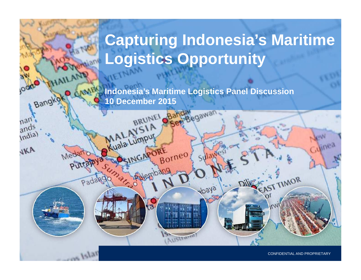# **Capturing Indonesia's Maritime Logistics Opportunity**

**Indonesia's Maritime Logistics Panel Discussion10 December 2015**

skede

Sen Begawan

Borneo

BRUNEL

 $S1A$ 

SINGARORE

Kuala Lumpur

PALLO

Bangkok

piitrav

 $PaC$ 

 $161a$ T

nan ands

India)

VKA

1CONFIDENTIAL AND PROPRIETARY

EAST TIMOR

Last Modified 12/10/2015 1:36 AM SE Asia Standard Time Printed 12/10/2015 1:39 AM SE Asia Standard Time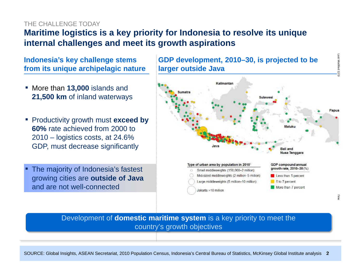## THE CHALL ENGE TODAY

# **Maritime logistics is a key priority for Indonesia to resolve its unique internal challenges and meet its growth aspirations**

## **Indonesia's key challenge stems from its unique archipelagic nature**

- More than **13,000** islands and **21,500 km** of inland waterways
- Productivity growth must **exceed by 60%** rate achieved from 2000 to 2010 – logistics costs, at 24.6% GDP, must decrease significantly
- The majority of Indonesia's fastest growing cities are **outside of Java** and are not well-connected

**GDP development, 2010–30, is projected to be larger outside Java**

Last Modified



## Development of **domestic maritime system** is a key priority to meet the country's growth objectives

SOURCE: Global Insights, ASEAN Secretariat, 2010 Population Census, Indonesia's Central Bureau of Statistics, McKinsey Global Institute analysis 2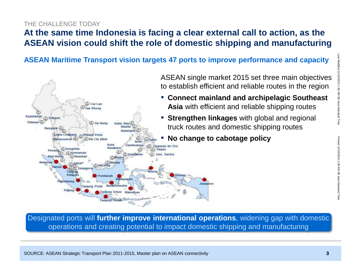#### THE CHALL ENGE TODAY

# **At the same time Indonesia is facing a clear external call to action, as the ASEAN vision could shift the role of domestic shipping and manufacturing**

**ASEAN Maritime Transport vision targets 47 ports to improve performance and capacity**



Designated ports will **further improve international operations**, widening gap with domestic operations and creating potential to impact domestic shipping and manufacturing

3

Last Modified 12/10/2015 1:36 AM SE Asia Standard Time Printed 12/10/2015 1:39 AM SE Asia Standard Time

Printed 12/10/2015 1:39 AM SE Asia Standard Time

Standard Time

st Modified 12/10/2015 1:36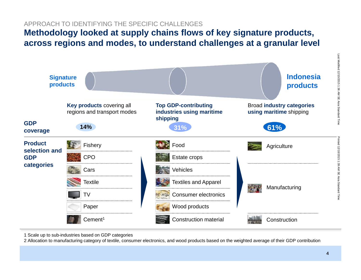## APPROACH TO IDENTIFYING THE SPECIFIC CHALLENGES

## **Methodology looked at supply chains flows of key signature products, across regions and modes, to understand challenges at a granular level**



1 Scale up to sub-industries based on GDP categories

2 Allocation to manufacturing category of textile, consumer electronics, and wood products based on the weighted average of their GDP contribution

Printed 12/10/2015 1:39 AM SE Asia Standard Time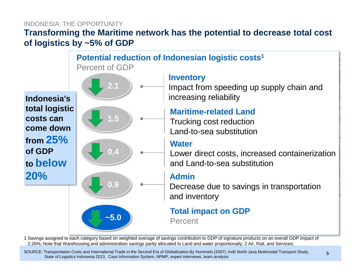## **Transforming the Maritime network has the potential to decrease total cost of logistics by ~5% of GDP**INDONESIA: THE OPPORTUNITY



1 Savings assigned to each category based on weighted average of savings contribution to GDP of signature products on an overall GDP impact of 2.26%; Note that Warehousing and administration savings partly allocated to Land and water proportionally; 2 Air, Rail, and Services;

SOURCE: Transportation Costs and International Trade in the Second Era of Globalization By Hummels (2007), Indii North Java Multimodal Transport Study, State of Logistics Indonesia 2013, Cass Information System, NPMP, expert interviews, team analysis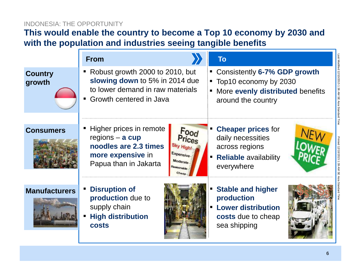## INDONESIA: THE OPPORTUNITY

# **This would enable the country to become a Top 10 economy by 2030 and with the population and industries seeing tangible benefits**

|                          | <b>From</b>                                                                                                                                                                                | <b>To</b>                                                                                                                        |
|--------------------------|--------------------------------------------------------------------------------------------------------------------------------------------------------------------------------------------|----------------------------------------------------------------------------------------------------------------------------------|
| <b>Country</b><br>growth | Robust growth 2000 to 2010, but<br>slowing down to 5% in 2014 due<br>to lower demand in raw materials<br>Growth centered in Java<br>$\blacksquare$                                         | Consistently 6-7% GDP growth<br>Top10 economy by 2030<br>More evenly distributed benefits<br>around the country                  |
| <b>Consumers</b>         | Higher prices in remote<br>Food<br>regions $-$ a cup<br>Prices<br>noodles are 2.3 times<br>Sky High!<br>Expensive-<br>more expensive in<br>Moderate<br>Papua than in Jakarta<br>teasonable | <b>Cheaper prices for</b><br>daily necessities<br>across regions<br><b>Reliable availability</b><br>$\blacksquare$<br>everywhere |
| <b>Manufacturers</b>     | <b>Disruption of</b><br>production due to<br>supply chain<br><b>High distribution</b><br><b>costs</b>                                                                                      | <b>Stable and higher</b><br>production<br><b>Lower distribution</b><br>costs due to cheap<br>sea shipping                        |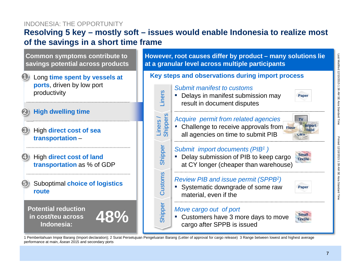#### INDONESIA: THE OPPORTUNITY

## **Resolving 5 key – mostly soft – issues would enable Indonesia to realize most of the savings in a short time frame**



1 Pemberitahuan Impor Barang (Import declaration); 2 Surat Persetujuan Pengeluaran Barang (Letter of approval for cargo release) 3 Range between lowest and highest average performance at main, Asean 2015 and secondary ports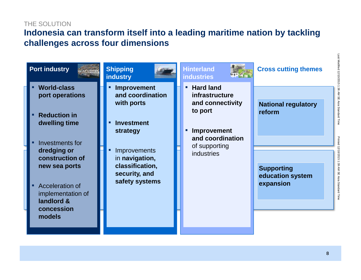## THE SOLUTION

## **Indonesia can transform itself into a leading maritime nation by tackling challenges across four dimensions**

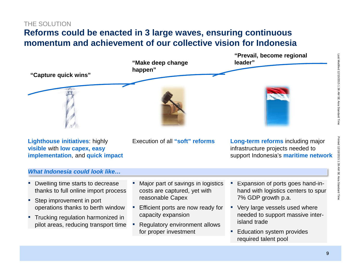#### THE SOLUTION

# **Reforms could be enacted in 3 large waves, ensuring continuous momentum and achievement of our collective vision for Indonesia**

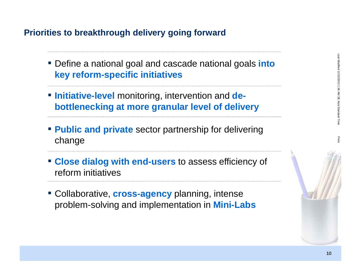## **Priorities to breakthrough delivery going forward**

- Define a national goal and cascade national goals **into key reform-specific initiatives**
- **Initiative-level** monitoring, intervention and **debottlenecking at more granular level of delivery**
- **Public and private** sector partnership for delivering change
- **Close dialog with end-users** to assess efficiency of reform initiatives
- Collaborative, **cross-agency** planning, intense problem-solving and implementation in **Mini-Labs**